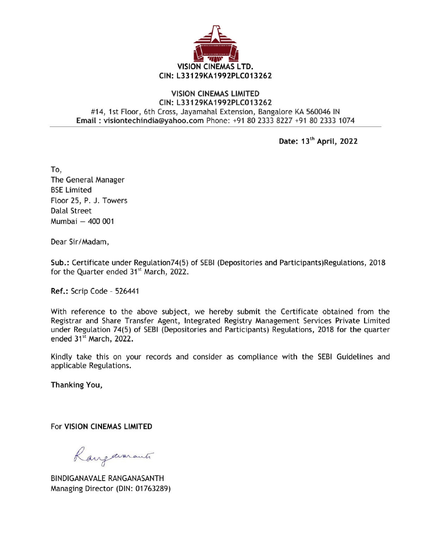

## VISION CINEMAS LIMITED CIN: L33129KA1992PLC013262 #14, 1st Floor, 6th Cross, Jayamahal Extension, Bangalore KA 560046 IN VISION CIN<br>CIN: L33129KA1<br>CIN: L33129KA1<br>VISION CINE<br>CIN: L33129KA1<br>H14, 1st Floor, 6th Cross, Jayamaha<br>Email : visiontechindia@yahoo.com Ph Email : visiontechindia@yahoo.com Phone: +91 80 2333 8227 +91 80 2333 1074

Date: 13" April, 2022

To, The General Manager BSE Limited Floor 25, P. J. Towers Dalal Street Mumbai — 400 001

Dear Sir/Madam,

Sub.: Certificate under Regulation74(5) of SEBI (Depositories and Participants)Regulations, 2018 for the Quarter ended 31<sup>st</sup> March, 2022.

Ref.: Scrip Code - 526441

With reference to the above subject, we hereby submit the Certificate obtained from the Registrar and Share Transfer Agent, Integrated Registry Management Services Private Limited under Regulation 74(5) of SEBI (Depositories and Participants) Regulations, 2018 for the quarter ended 31\* March, 2022.

Kindly take this on your records and consider as compliance with the SEBI Guidelines and applicable Regulations.

Thanking You,

For VISION CINEMAS LIMITED

Rangavarants

BINDIGANAVALE RANGANASANTH Managing Director (DIN: 01763289)